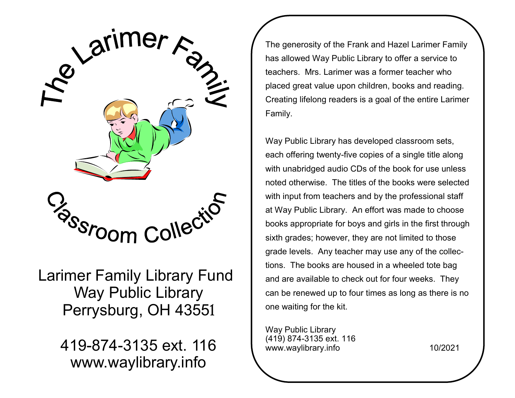

 Larimer Family Library Fund Way Public Library Perrysburg, OH 43551

> 419-874-3135 ext. 116 www.waylibrary.info

The generosity of the Frank and Hazel Larimer Family has allowed Way Public Library to offer a service to teachers. Mrs. Larimer was a former teacher who placed great value upon children, books and reading. Creating lifelong readers is a goal of the entire Larimer Family.

Way Public Library has developed classroom sets, each offering twenty-five copies of a single title along with unabridged audio CDs of the book for use unless noted otherwise. The titles of the books were selected with input from teachers and by the professional staff at Way Public Library. An effort was made to choose books appropriate for boys and girls in the first through sixth grades; however, they are not limited to those grade levels. Any teacher may use any of the collections. The books are housed in a wheeled tote bag and are available to check out for four weeks. They can be renewed up to four times as long as there is no one waiting for the kit.

Way Public Library (419) 874-3135 ext. 116 www.waylibrary.info 10/2021